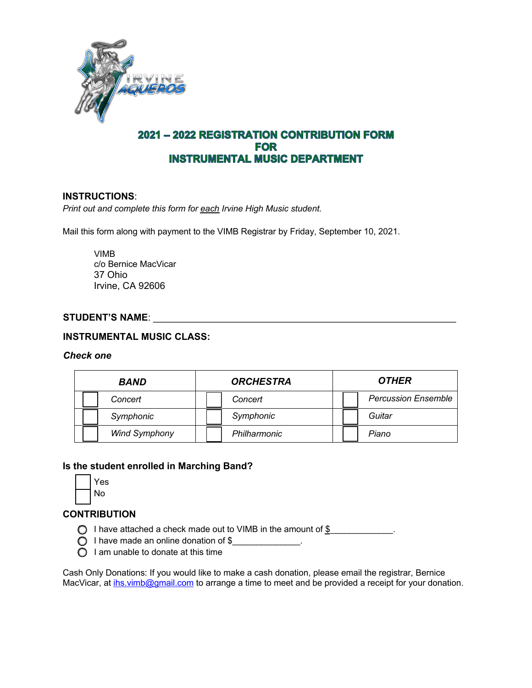

# 2021 - 2022 REGISTRATION CONTRIBUTION FORM **FOR INSTRUMENTAL MUSIC DEPARTMENT**

## **INSTRUCTIONS**:

*Print out and complete this form for each Irvine High Music student.* 

Mail this form along with payment to the VIMB Registrar by Friday, September 10, 2021.

VIMB c/o Bernice MacVicar 37 Ohio Irvine, CA 92606

### **STUDENT'S NAME**: \_\_\_\_\_\_\_\_\_\_\_\_\_\_\_\_\_\_\_\_\_\_\_\_\_\_\_\_\_\_\_\_\_\_\_\_\_\_\_\_\_\_\_\_\_\_\_\_\_\_\_\_\_\_\_\_\_

## **INSTRUMENTAL MUSIC CLASS:**

#### *Check one*

| <b>BAND</b>          | <b>ORCHESTRA</b> | <b>OTHER</b>               |
|----------------------|------------------|----------------------------|
| Concert              | Concert          | <b>Percussion Ensemble</b> |
| Symphonic            | Symphonic        | Guitar                     |
| <b>Wind Symphony</b> | Philharmonic     | Piano                      |

### **Is the student enrolled in Marching Band?**

| e<br>s |  |
|--------|--|
| Nο     |  |

## **CONTRIBUTION**

- ◯ I have attached a check made out to VIMB in the amount of \$\_\_\_\_\_\_\_\_\_\_\_\_\_.
- $\bigcirc$  I have made an online donation of \$
- $\bigcirc$  I am unable to donate at this time

Cash Only Donations: If you would like to make a cash donation, please email the registrar, Bernice MacVicar, at ihs.vimb@gmail.com to arrange a time to meet and be provided a receipt for your donation.